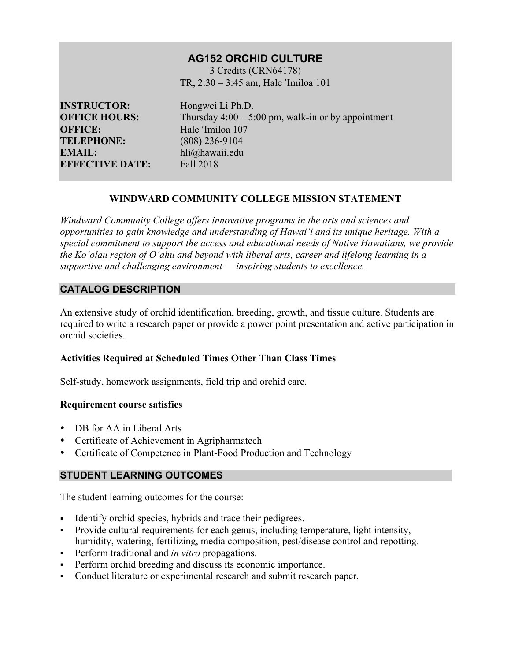# **AG152 ORCHID CULTURE**

3 Credits (CRN64178) TR, 2:30 – 3:45 am, Hale ʹImiloa 101

**INSTRUCTOR:** Hongwei Li Ph.D. **OFFICE:** Hale <sup>'Imiloa</sup> 107 **TELEPHONE:** (808) 236-9104 **EMAIL:** hli@hawaii.edu **EFFECTIVE DATE:** Fall 2018

**OFFICE HOURS:** Thursday 4:00 – 5:00 pm, walk-in or by appointment

## **WINDWARD COMMUNITY COLLEGE MISSION STATEMENT**

*Windward Community College offers innovative programs in the arts and sciences and opportunities to gain knowledge and understanding of Hawai'i and its unique heritage. With a special commitment to support the access and educational needs of Native Hawaiians, we provide the Ko'olau region of Oʻahu and beyond with liberal arts, career and lifelong learning in a supportive and challenging environment — inspiring students to excellence.*

### **CATALOG DESCRIPTION**

An extensive study of orchid identification, breeding, growth, and tissue culture. Students are required to write a research paper or provide a power point presentation and active participation in orchid societies.

### **Activities Required at Scheduled Times Other Than Class Times**

Self-study, homework assignments, field trip and orchid care.

### **Requirement course satisfies**

- DB for AA in Liberal Arts
- Certificate of Achievement in Agripharmatech
- Certificate of Competence in Plant-Food Production and Technology

## **STUDENT LEARNING OUTCOMES**

The student learning outcomes for the course:

- Identify orchid species, hybrids and trace their pedigrees.
- § Provide cultural requirements for each genus, including temperature, light intensity, humidity, watering, fertilizing, media composition, pest/disease control and repotting.
- § Perform traditional and *in vitro* propagations.
- Perform orchid breeding and discuss its economic importance.
- § Conduct literature or experimental research and submit research paper.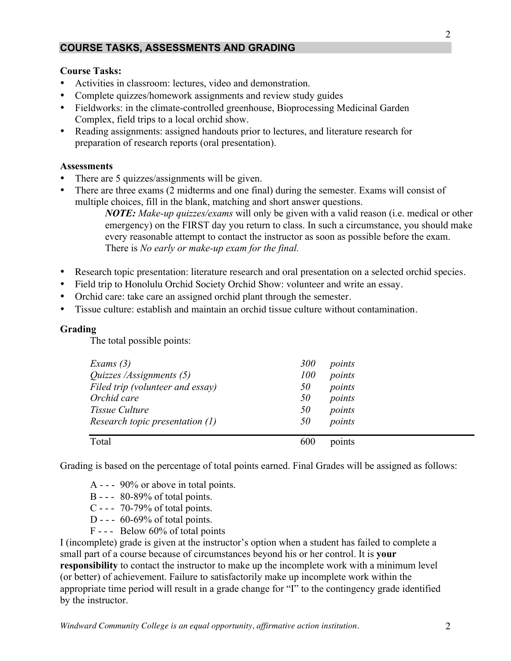## **COURSE TASKS, ASSESSMENTS AND GRADING**

#### **Course Tasks:**

- Activities in classroom: lectures, video and demonstration.
- Complete quizzes/homework assignments and review study guides
- Fieldworks: in the climate-controlled greenhouse, Bioprocessing Medicinal Garden Complex, field trips to a local orchid show.
- Reading assignments: assigned handouts prior to lectures, and literature research for preparation of research reports (oral presentation).

#### **Assessments**

- There are 5 quizzes/assignments will be given.
- There are three exams (2 midterms and one final) during the semester. Exams will consist of multiple choices, fill in the blank, matching and short answer questions.

*NOTE: Make-up quizzes/exams* will only be given with a valid reason (i.e. medical or other emergency) on the FIRST day you return to class. In such a circumstance, you should make every reasonable attempt to contact the instructor as soon as possible before the exam. There is *No early or make-up exam for the final.*

- Research topic presentation: literature research and oral presentation on a selected orchid species.
- Field trip to Honolulu Orchid Society Orchid Show: volunteer and write an essay.
- Orchid care: take care an assigned orchid plant through the semester.
- Tissue culture: establish and maintain an orchid tissue culture without contamination.

### **Grading**

The total possible points:

| Exams $(3)$                       | 300 | points |
|-----------------------------------|-----|--------|
| Quizzes /Assignments (5)          | 100 | points |
| Filed trip (volunteer and essay)  | 50  | points |
| Orchid care                       | 50  | points |
| Tissue Culture                    | 50  | points |
| Research topic presentation $(1)$ | 50  | points |
|                                   |     |        |
| Total                             | 600 | points |

Grading is based on the percentage of total points earned. Final Grades will be assigned as follows:

- A - 90% or above in total points.
- B - 80-89% of total points.
- C - 70-79% of total points.
- D -  $60-69\%$  of total points.
- F - Below 60% of total points

I (incomplete) grade is given at the instructor's option when a student has failed to complete a small part of a course because of circumstances beyond his or her control. It is **your responsibility** to contact the instructor to make up the incomplete work with a minimum level (or better) of achievement. Failure to satisfactorily make up incomplete work within the appropriate time period will result in a grade change for "I" to the contingency grade identified by the instructor.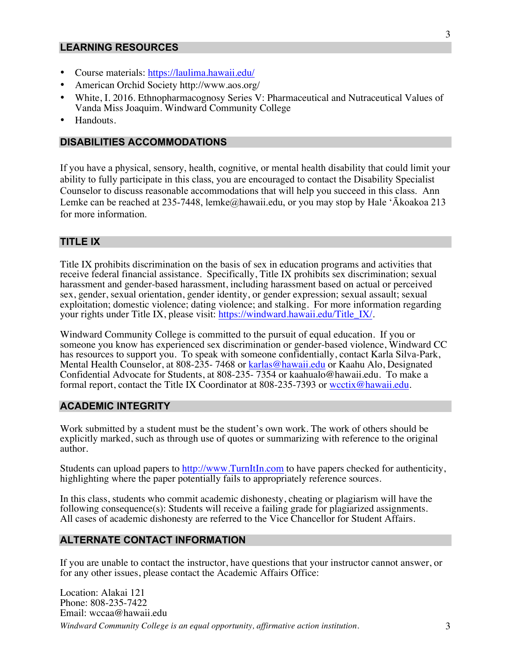### **LEARNING RESOURCES**

- Course materials: https://laulima.hawaii.edu/
- American Orchid Society http://www.aos.org/
- White, I. 2016. Ethnopharmacognosy Series V: Pharmaceutical and Nutraceutical Values of Vanda Miss Joaquim. Windward Community College
- Handouts.

#### **DISABILITIES ACCOMMODATIONS**

If you have a physical, sensory, health, cognitive, or mental health disability that could limit your ability to fully participate in this class, you are encouraged to contact the Disability Specialist Counselor to discuss reasonable accommodations that will help you succeed in this class. Ann Lemke can be reached at 235-7448, lemke@hawaii.edu, or you may stop by Hale 'Ākoakoa 213 for more information.

#### **TITLE IX**

Title IX prohibits discrimination on the basis of sex in education programs and activities that receive federal financial assistance. Specifically, Title IX prohibits sex discrimination; sexual harassment and gender-based harassment, including harassment based on actual or perceived sex, gender, sexual orientation, gender identity, or gender expression; sexual assault; sexual exploitation; domestic violence; dating violence; and stalking. For more information regarding your rights under Title IX, please visit: https://windward.hawaii.edu/Title\_IX/.

Windward Community College is committed to the pursuit of equal education. If you or someone you know has experienced sex discrimination or gender-based violence, Windward CC has resources to support you. To speak with someone confidentially, contact Karla Silva-Park, Mental Health Counselor, at 808-235- 7468 or karlas@hawaii.edu or Kaahu Alo, Designated Confidential Advocate for Students, at 808-235- 7354 or kaahualo@hawaii.edu. To make a formal report, contact the Title IX Coordinator at 808-235-7393 or wcctix@hawaii.edu.

#### **ACADEMIC INTEGRITY**

Work submitted by a student must be the student's own work. The work of others should be explicitly marked, such as through use of quotes or summarizing with reference to the original author.

Students can upload papers to http://www.TurnItIn.com to have papers checked for authenticity, highlighting where the paper potentially fails to appropriately reference sources.

In this class, students who commit academic dishonesty, cheating or plagiarism will have the following consequence(s): Students will receive a failing grade for plagiarized assignments. All cases of academic dishonesty are referred to the Vice Chancellor for Student Affairs.

#### **ALTERNATE CONTACT INFORMATION**

If you are unable to contact the instructor, have questions that your instructor cannot answer, or for any other issues, please contact the Academic Affairs Office:

*Windward Community College is an equal opportunity, affirmative action institution.* 3 Location: Alakai 121 Phone: 808-235-7422 Email: wccaa@hawaii.edu